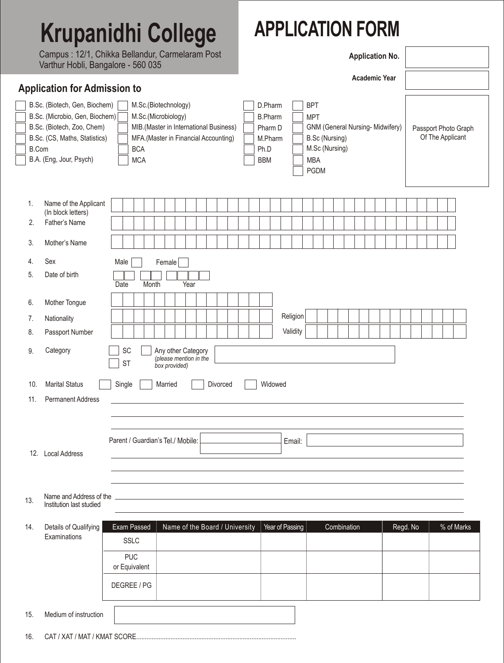## **Krupanidhi College**

Campus : 12/1, Chikka Bellandur, Carmelaram Post Varthur Hobli, Bangalore - 560 035

## **APPLICATION FORM**

**Application No.**

|                                     | varinur Flopii, Dariyalor <del>o</del> - Joo OJJ                                                                                                                                                                                                                                                                                       |                                                                          |                                                               |      |                                |                      |  |                                                                       |  |  |         |                 |                                                                                           |  |  |             |  |                                  |  |  |  |  |          |                                          |  |  |  |            |  |
|-------------------------------------|----------------------------------------------------------------------------------------------------------------------------------------------------------------------------------------------------------------------------------------------------------------------------------------------------------------------------------------|--------------------------------------------------------------------------|---------------------------------------------------------------|------|--------------------------------|----------------------|--|-----------------------------------------------------------------------|--|--|---------|-----------------|-------------------------------------------------------------------------------------------|--|--|-------------|--|----------------------------------|--|--|--|--|----------|------------------------------------------|--|--|--|------------|--|
| <b>Application for Admission to</b> |                                                                                                                                                                                                                                                                                                                                        |                                                                          |                                                               |      |                                | <b>Academic Year</b> |  |                                                                       |  |  |         |                 |                                                                                           |  |  |             |  |                                  |  |  |  |  |          |                                          |  |  |  |            |  |
|                                     | B.Sc. (Biotech, Gen, Biochem)<br>M.Sc.(Biotechnology)<br>B.Sc. (Microbio, Gen, Biochem)<br>M.Sc.(Microbiology)<br>B.Sc. (Biotech, Zoo, Chem)<br>MIB.(Master in International Business)<br>B.Sc. (CS, Maths, Statistics)<br>MFA.(Master in Financial Accounting)<br><b>B.Com</b><br><b>BCA</b><br>B.A. (Eng, Jour, Psych)<br><b>MCA</b> |                                                                          |                                                               |      |                                |                      |  | D.Pharm<br><b>B.Pharm</b><br>Pharm D<br>M.Pharm<br>Ph.D<br><b>BBM</b> |  |  |         |                 | <b>BPT</b><br><b>MPT</b><br>B.Sc (Nursing)<br>M.Sc (Nursing)<br><b>MBA</b><br><b>PGDM</b> |  |  |             |  | GNM (General Nursing- Midwifery) |  |  |  |  |          | Passport Photo Graph<br>Of The Applicant |  |  |  |            |  |
| 1.                                  | Name of the Applicant                                                                                                                                                                                                                                                                                                                  |                                                                          |                                                               |      |                                |                      |  |                                                                       |  |  |         |                 |                                                                                           |  |  |             |  |                                  |  |  |  |  |          |                                          |  |  |  |            |  |
| 2.                                  | (In block letters)<br>Father's Name                                                                                                                                                                                                                                                                                                    |                                                                          |                                                               |      |                                |                      |  |                                                                       |  |  |         |                 |                                                                                           |  |  |             |  |                                  |  |  |  |  |          |                                          |  |  |  |            |  |
| 3.                                  | Mother's Name                                                                                                                                                                                                                                                                                                                          |                                                                          |                                                               |      |                                |                      |  |                                                                       |  |  |         |                 |                                                                                           |  |  |             |  |                                  |  |  |  |  |          |                                          |  |  |  |            |  |
| 4.<br>5.                            | Sex<br>Date of birth                                                                                                                                                                                                                                                                                                                   | Male<br>Month<br>Date                                                    | Female                                                        | Year |                                |                      |  |                                                                       |  |  |         |                 |                                                                                           |  |  |             |  |                                  |  |  |  |  |          |                                          |  |  |  |            |  |
| 6.                                  | Mother Tongue                                                                                                                                                                                                                                                                                                                          |                                                                          |                                                               |      |                                |                      |  |                                                                       |  |  |         |                 |                                                                                           |  |  |             |  |                                  |  |  |  |  |          |                                          |  |  |  |            |  |
| 7.                                  | Nationality                                                                                                                                                                                                                                                                                                                            |                                                                          |                                                               |      |                                |                      |  |                                                                       |  |  |         | Religion        |                                                                                           |  |  |             |  |                                  |  |  |  |  |          |                                          |  |  |  |            |  |
| 8.                                  | Passport Number                                                                                                                                                                                                                                                                                                                        |                                                                          |                                                               |      |                                |                      |  |                                                                       |  |  |         | Validity        |                                                                                           |  |  |             |  |                                  |  |  |  |  |          |                                          |  |  |  |            |  |
| 9.                                  | Category                                                                                                                                                                                                                                                                                                                               | SC<br><b>ST</b>                                                          | Any other Category<br>(please mention in the<br>box provided) |      |                                |                      |  |                                                                       |  |  |         |                 |                                                                                           |  |  |             |  |                                  |  |  |  |  |          |                                          |  |  |  |            |  |
| 10.                                 | <b>Marital Status</b>                                                                                                                                                                                                                                                                                                                  | Single                                                                   | Married                                                       |      |                                | Divorced             |  |                                                                       |  |  | Widowed |                 |                                                                                           |  |  |             |  |                                  |  |  |  |  |          |                                          |  |  |  |            |  |
| 11.                                 | <b>Permanent Address</b>                                                                                                                                                                                                                                                                                                               |                                                                          |                                                               |      |                                |                      |  |                                                                       |  |  |         |                 |                                                                                           |  |  |             |  |                                  |  |  |  |  |          |                                          |  |  |  |            |  |
|                                     | 12. Local Address                                                                                                                                                                                                                                                                                                                      | Parent / Guardian's Tel./ Mobile:                                        |                                                               |      |                                |                      |  |                                                                       |  |  |         | Email:          |                                                                                           |  |  |             |  |                                  |  |  |  |  |          |                                          |  |  |  |            |  |
| 13.                                 | Name and Address of the<br>Institution last studied                                                                                                                                                                                                                                                                                    |                                                                          |                                                               |      |                                |                      |  |                                                                       |  |  |         |                 |                                                                                           |  |  |             |  |                                  |  |  |  |  |          |                                          |  |  |  |            |  |
| 14.                                 | Details of Qualifying<br>Examinations                                                                                                                                                                                                                                                                                                  | Exam Passed<br><b>SSLC</b><br><b>PUC</b><br>or Equivalent<br>DEGREE / PG |                                                               |      | Name of the Board / University |                      |  |                                                                       |  |  |         | Year of Passing |                                                                                           |  |  | Combination |  |                                  |  |  |  |  | Regd. No |                                          |  |  |  | % of Marks |  |
| 15.                                 | Medium of instruction                                                                                                                                                                                                                                                                                                                  |                                                                          |                                                               |      |                                |                      |  |                                                                       |  |  |         |                 |                                                                                           |  |  |             |  |                                  |  |  |  |  |          |                                          |  |  |  |            |  |